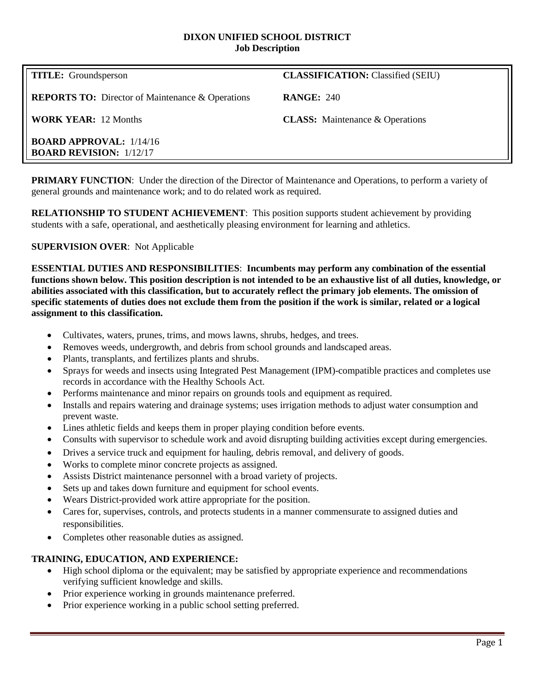#### **DIXON UNIFIED SCHOOL DISTRICT Job Description**

**REPORTS TO:** Director of Maintenance & Operations **RANGE:** 240

**BOARD APPROVAL:** 1/14/16 **BOARD REVISION:** 1/12/17

**TITLE:** Groundsperson **CLASSIFICATION: Classified (SEIU)** 

**WORK YEAR:** 12 Months **CLASS:** Maintenance & Operations

**PRIMARY FUNCTION:** Under the direction of the Director of Maintenance and Operations, to perform a variety of general grounds and maintenance work; and to do related work as required.

**RELATIONSHIP TO STUDENT ACHIEVEMENT**: This position supports student achievement by providing students with a safe, operational, and aesthetically pleasing environment for learning and athletics.

# **SUPERVISION OVER**: Not Applicable

**ESSENTIAL DUTIES AND RESPONSIBILITIES**: **Incumbents may perform any combination of the essential functions shown below. This position description is not intended to be an exhaustive list of all duties, knowledge, or abilities associated with this classification, but to accurately reflect the primary job elements. The omission of specific statements of duties does not exclude them from the position if the work is similar, related or a logical assignment to this classification.**

- Cultivates, waters, prunes, trims, and mows lawns, shrubs, hedges, and trees.
- Removes weeds, undergrowth, and debris from school grounds and landscaped areas.
- Plants, transplants, and fertilizes plants and shrubs.
- Sprays for weeds and insects using Integrated Pest Management (IPM)-compatible practices and completes use records in accordance with the Healthy Schools Act.
- Performs maintenance and minor repairs on grounds tools and equipment as required.
- Installs and repairs watering and drainage systems; uses irrigation methods to adjust water consumption and prevent waste.
- Lines athletic fields and keeps them in proper playing condition before events.
- Consults with supervisor to schedule work and avoid disrupting building activities except during emergencies.
- Drives a service truck and equipment for hauling, debris removal, and delivery of goods.
- Works to complete minor concrete projects as assigned.
- Assists District maintenance personnel with a broad variety of projects.
- Sets up and takes down furniture and equipment for school events.
- Wears District-provided work attire appropriate for the position.
- Cares for, supervises, controls, and protects students in a manner commensurate to assigned duties and responsibilities.
- Completes other reasonable duties as assigned.

# **TRAINING, EDUCATION, AND EXPERIENCE:**

- High school diploma or the equivalent; may be satisfied by appropriate experience and recommendations verifying sufficient knowledge and skills.
- Prior experience working in grounds maintenance preferred.
- Prior experience working in a public school setting preferred.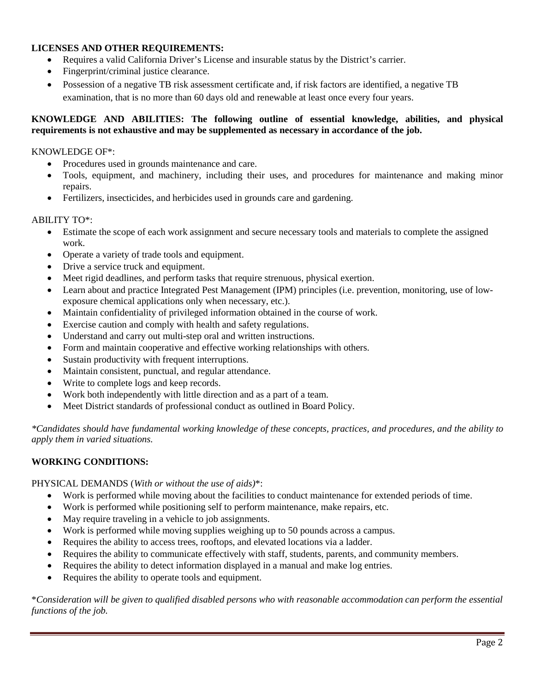# **LICENSES AND OTHER REQUIREMENTS:**

- Requires a valid California Driver's License and insurable status by the District's carrier.
- Fingerprint/criminal justice clearance.
- Possession of a negative TB risk assessment certificate and, if risk factors are identified, a negative TB examination, that is no more than 60 days old and renewable at least once every four years.

### **KNOWLEDGE AND ABILITIES: The following outline of essential knowledge, abilities, and physical requirements is not exhaustive and may be supplemented as necessary in accordance of the job.**

### KNOWLEDGE OF\*:

- Procedures used in grounds maintenance and care.
- Tools, equipment, and machinery, including their uses, and procedures for maintenance and making minor repairs.
- Fertilizers, insecticides, and herbicides used in grounds care and gardening.

### ABILITY TO\*:

- Estimate the scope of each work assignment and secure necessary tools and materials to complete the assigned work.
- Operate a variety of trade tools and equipment.
- Drive a service truck and equipment.
- Meet rigid deadlines, and perform tasks that require strenuous, physical exertion.
- Learn about and practice Integrated Pest Management (IPM) principles (i.e. prevention, monitoring, use of lowexposure chemical applications only when necessary, etc.).
- Maintain confidentiality of privileged information obtained in the course of work.
- Exercise caution and comply with health and safety regulations.
- Understand and carry out multi-step oral and written instructions.
- Form and maintain cooperative and effective working relationships with others.
- Sustain productivity with frequent interruptions.
- Maintain consistent, punctual, and regular attendance.
- Write to complete logs and keep records.
- Work both independently with little direction and as a part of a team.
- Meet District standards of professional conduct as outlined in Board Policy.

*\*Candidates should have fundamental working knowledge of these concepts, practices, and procedures, and the ability to apply them in varied situations.*

# **WORKING CONDITIONS:**

PHYSICAL DEMANDS (*With or without the use of aids)*\*:

- Work is performed while moving about the facilities to conduct maintenance for extended periods of time.
- Work is performed while positioning self to perform maintenance, make repairs, etc.
- May require traveling in a vehicle to job assignments.
- Work is performed while moving supplies weighing up to 50 pounds across a campus.
- Requires the ability to access trees, rooftops, and elevated locations via a ladder.
- Requires the ability to communicate effectively with staff, students, parents, and community members.
- Requires the ability to detect information displayed in a manual and make log entries.
- Requires the ability to operate tools and equipment.

\**Consideration will be given to qualified disabled persons who with reasonable accommodation can perform the essential functions of the job.*